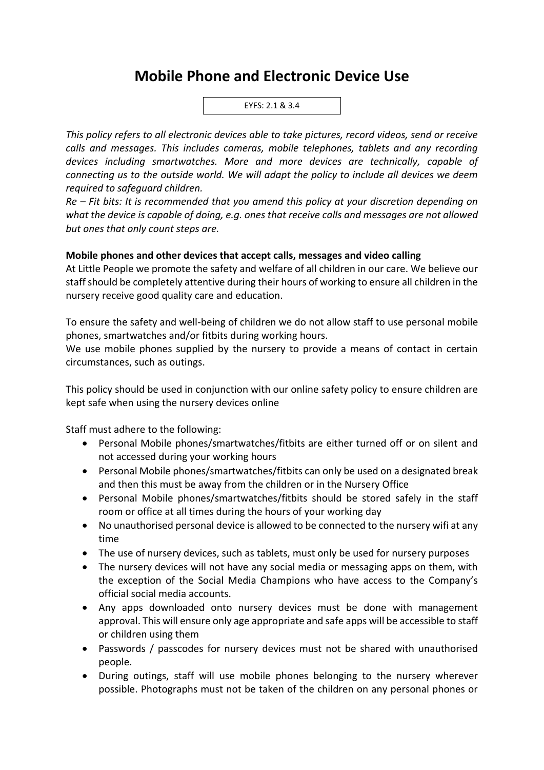# **Mobile Phone and Electronic Device Use**

EYFS: 2.1 & 3.4

*This policy refers to all electronic devices able to take pictures, record videos, send or receive calls and messages. This includes cameras, mobile telephones, tablets and any recording devices including smartwatches. More and more devices are technically, capable of connecting us to the outside world. We will adapt the policy to include all devices we deem required to safeguard children.* 

*Re – Fit bits: It is recommended that you amend this policy at your discretion depending on what the device is capable of doing, e.g. ones that receive calls and messages are not allowed but ones that only count steps are.* 

## **Mobile phones and other devices that accept calls, messages and video calling**

At Little People we promote the safety and welfare of all children in our care. We believe our staff should be completely attentive during their hours of working to ensure all children in the nursery receive good quality care and education.

To ensure the safety and well-being of children we do not allow staff to use personal mobile phones, smartwatches and/or fitbits during working hours.

We use mobile phones supplied by the nursery to provide a means of contact in certain circumstances, such as outings.

This policy should be used in conjunction with our online safety policy to ensure children are kept safe when using the nursery devices online

Staff must adhere to the following:

- Personal Mobile phones/smartwatches/fitbits are either turned off or on silent and not accessed during your working hours
- Personal Mobile phones/smartwatches/fitbits can only be used on a designated break and then this must be away from the children or in the Nursery Office
- Personal Mobile phones/smartwatches/fitbits should be stored safely in the staff room or office at all times during the hours of your working day
- No unauthorised personal device is allowed to be connected to the nursery wifi at any time
- The use of nursery devices, such as tablets, must only be used for nursery purposes
- The nursery devices will not have any social media or messaging apps on them, with the exception of the Social Media Champions who have access to the Company's official social media accounts.
- Any apps downloaded onto nursery devices must be done with management approval. This will ensure only age appropriate and safe apps will be accessible to staff or children using them
- Passwords / passcodes for nursery devices must not be shared with unauthorised people.
- During outings, staff will use mobile phones belonging to the nursery wherever possible. Photographs must not be taken of the children on any personal phones or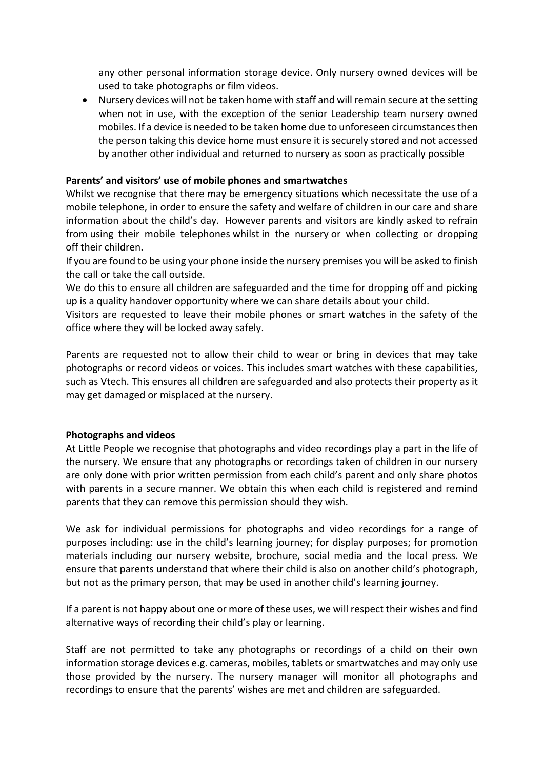any other personal information storage device. Only nursery owned devices will be used to take photographs or film videos.

• Nursery devices will not be taken home with staff and will remain secure at the setting when not in use, with the exception of the senior Leadership team nursery owned mobiles. If a device is needed to be taken home due to unforeseen circumstances then the person taking this device home must ensure it is securely stored and not accessed by another other individual and returned to nursery as soon as practically possible

## **Parents' and visitors' use of mobile phones and smartwatches**

Whilst we recognise that there may be emergency situations which necessitate the use of a mobile telephone, in order to ensure the safety and welfare of children in our care and share information about the child's day. However parents and visitors are kindly asked to refrain from using their mobile telephones whilst in the nursery or when collecting or dropping off their children.

If you are found to be using your phone inside the nursery premises you will be asked to finish the call or take the call outside.

We do this to ensure all children are safeguarded and the time for dropping off and picking up is a quality handover opportunity where we can share details about your child.

Visitors are requested to leave their mobile phones or smart watches in the safety of the office where they will be locked away safely.

Parents are requested not to allow their child to wear or bring in devices that may take photographs or record videos or voices. This includes smart watches with these capabilities, such as Vtech. This ensures all children are safeguarded and also protects their property as it may get damaged or misplaced at the nursery.

#### **Photographs and videos**

At Little People we recognise that photographs and video recordings play a part in the life of the nursery. We ensure that any photographs or recordings taken of children in our nursery are only done with prior written permission from each child's parent and only share photos with parents in a secure manner. We obtain this when each child is registered and remind parents that they can remove this permission should they wish.

We ask for individual permissions for photographs and video recordings for a range of purposes including: use in the child's learning journey; for display purposes; for promotion materials including our nursery website, brochure, social media and the local press. We ensure that parents understand that where their child is also on another child's photograph, but not as the primary person, that may be used in another child's learning journey.

If a parent is not happy about one or more of these uses, we will respect their wishes and find alternative ways of recording their child's play or learning.

Staff are not permitted to take any photographs or recordings of a child on their own information storage devices e.g. cameras, mobiles, tablets or smartwatches and may only use those provided by the nursery. The nursery manager will monitor all photographs and recordings to ensure that the parents' wishes are met and children are safeguarded.